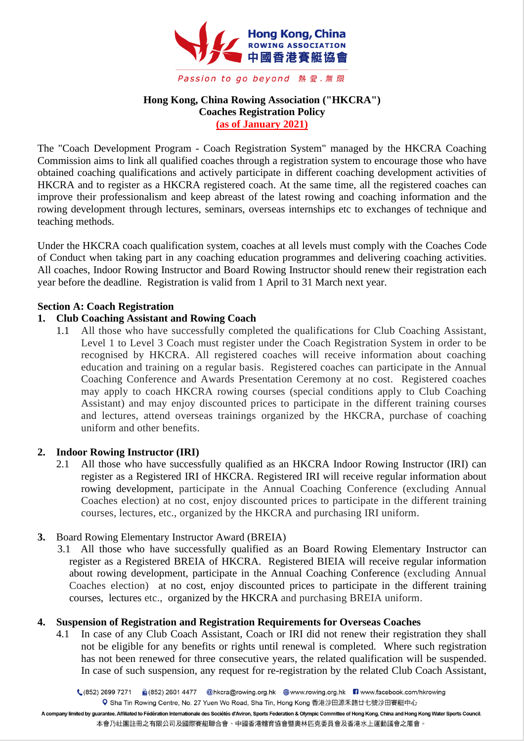

# **Hong Kong, China Rowing Association ("HKCRA") Coaches Registration Policy (as of January 2021)**

The "Coach Development Program - Coach Registration System" managed by the HKCRA Coaching Commission aims to link all qualified coaches through a registration system to encourage those who have obtained coaching qualifications and actively participate in different coaching development activities of HKCRA and to register as a HKCRA registered coach. At the same time, all the registered coaches can improve their professionalism and keep abreast of the latest rowing and coaching information and the rowing development through lectures, seminars, overseas internships etc to exchanges of technique and teaching methods.

Under the HKCRA coach qualification system, coaches at all levels must comply with the Coaches Code of Conduct when taking part in any coaching education programmes and delivering coaching activities. All coaches, Indoor Rowing Instructor and Board Rowing Instructor should renew their registration each year before the deadline. Registration is valid from 1 April to 31 March next year.

## **Section A: Coach Registration**

## **1. Club Coaching Assistant and Rowing Coach**

1.1 All those who have successfully completed the qualifications for Club Coaching Assistant, Level 1 to Level 3 Coach must register under the Coach Registration System in order to be recognised by HKCRA. All registered coaches will receive information about coaching education and training on a regular basis. Registered coaches can participate in the Annual Coaching Conference and Awards Presentation Ceremony at no cost. Registered coaches may apply to coach HKCRA rowing courses (special conditions apply to Club Coaching Assistant) and may enjoy discounted prices to participate in the different training courses and lectures, attend overseas trainings organized by the HKCRA, purchase of coaching uniform and other benefits.

## **2. Indoor Rowing Instructor (IRI)**

2.1 All those who have successfully qualified as an HKCRA Indoor Rowing Instructor (IRI) can register as a Registered IRI of HKCRA. Registered IRI will receive regular information about rowing development, participate in the Annual Coaching Conference (excluding Annual Coaches election) at no cost, enjoy discounted prices to participate in the different training courses, lectures, etc., organized by the HKCRA and purchasing IRI uniform.

# **3.** Board Rowing Elementary Instructor Award (BREIA)

3.1 All those who have successfully qualified as an Board Rowing Elementary Instructor can register as a Registered BREIA of HKCRA. Registered BIEIA will receive regular information about rowing development, participate in the Annual Coaching Conference (excluding Annual Coaches election) at no cost, enjoy discounted prices to participate in the different training courses, lectures etc., organized by the HKCRA and purchasing BREIA uniform.

## **4. Suspension of Registration and Registration Requirements for Overseas Coaches**

4.1 In case of any Club Coach Assistant, Coach or IRI did not renew their registration they shall not be eligible for any benefits or rights until renewal is completed. Where such registration has not been renewed for three consecutive years, the related qualification will be suspended. In case of such suspension, any request for re-registration by the related Club Coach Assistant,

A company limited by guarantee. Affiliated to Fédération Internationale des Sociétés d'Aviron, Sports Federation & Olympic Committee of Hong Kong, China and Hong Kong Water Sports Council. 本會乃社團註冊之有限公司及國際賽艇聯合會、中國香港體育協會暨奧林匹克委員會及香港水上運動議會之屬會。